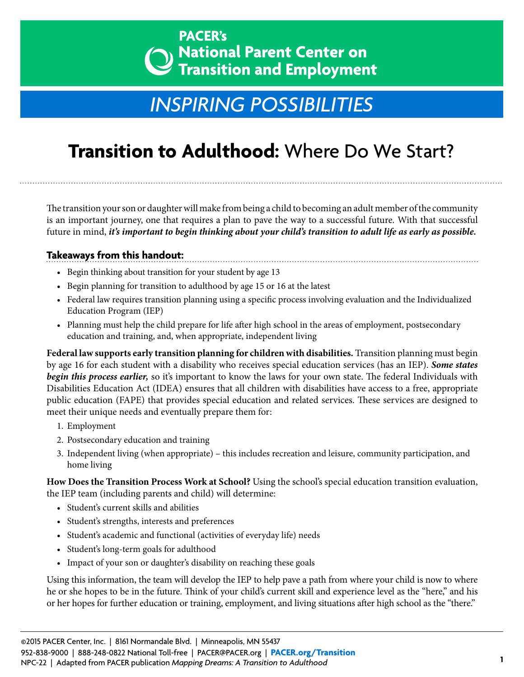## **PACER's National Parent Center on Transition and Employment**

## *[INSPIRING POSSIBILITIES](http://www.pacer.org/transition/)*

## **Transition to Adulthood:** Where Do We Start?

The transition your son or daughter will make from being a child to becoming an adult member of the community is an important journey, one that requires a plan to pave the way to a successful future. With that successful future in mind, *it's important to begin thinking about your child's transition to adult life as early as possible.*

## **Takeaways from this handout:**

- Begin thinking about transition for your student by age 13
- Begin planning for transition to adulthood by age 15 or 16 at the latest
- Federal law requires transition planning using a specific process involving evaluation and the Individualized Education Program (IEP)
- Planning must help the child prepare for life after high school in the areas of employment, postsecondary education and training, and, when appropriate, independent living

**Federal law supports early transition planning for children with disabilities.** Transition planning must begin by age 16 for each student with a disability who receives special education services (has an IEP). *Some states begin this process earlier,* so it's important to know the laws for your own state. The federal Individuals with Disabilities Education Act (IDEA) ensures that all children with disabilities have access to a free, appropriate public education (FAPE) that provides special education and related services. These services are designed to meet their unique needs and eventually prepare them for:

- 1. Employment
- 2. Postsecondary education and training
- 3. Independent living (when appropriate) this includes recreation and leisure, community participation, and home living

**How Does the Transition Process Work at School?** Using the school's special education transition evaluation, the IEP team (including parents and child) will determine:

- Student's current skills and abilities
- Student's strengths, interests and preferences
- Student's academic and functional (activities of everyday life) needs
- Student's long-term goals for adulthood
- Impact of your son or daughter's disability on reaching these goals

Using this information, the team will develop the IEP to help pave a path from where your child is now to where he or she hopes to be in the future. Think of your child's current skill and experience level as the "here," and his or her hopes for further education or training, employment, and living situations after high school as the "there."